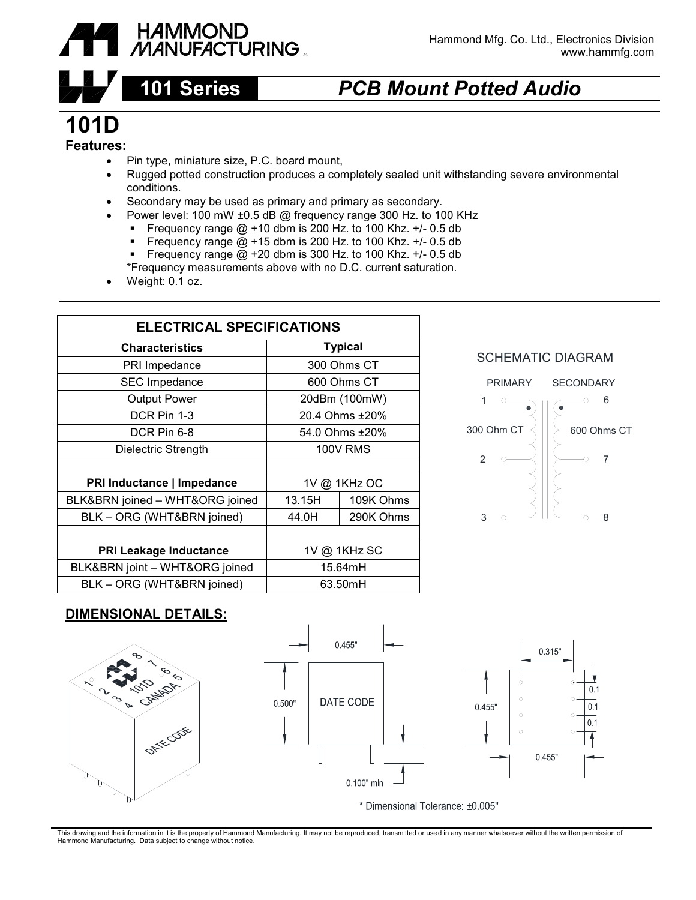

## **101 Series** *PCB Mount Potted Audio*

# **101D**

#### **Features:**

- Pin type, miniature size, P.C. board mount,
- Rugged potted construction produces a completely sealed unit withstanding severe environmental conditions.
- Secondary may be used as primary and primary as secondary.
- Power level: 100 mW ±0.5 dB @ frequency range 300 Hz. to 100 KHz
	- Frequency range  $@ + 10$  dbm is 200 Hz. to 100 Khz.  $+/- 0.5$  db<br>Frequency range  $@ + 15$  dbm is 200 Hz, to 100 Khz,  $+/- 0.5$  db
	- Frequency range  $\overline{Q}$  +15 dbm is 200 Hz. to 100 Khz. +/- 0.5 db<br>Frequency range  $\overline{Q}$  +20 dbm is 300 Hz to 100 Khz. +/- 0.5 db
	- Frequency range  $\overline{Q}$  +20 dbm is 300 Hz. to 100 Khz. +/- 0.5 db

\*Frequency measurements above with no D.C. current saturation.

Weight: 0.1 oz.

| <b>ELECTRICAL SPECIFICATIONS</b> |                 |           |
|----------------------------------|-----------------|-----------|
| <b>Characteristics</b>           | <b>Typical</b>  |           |
| PRI Impedance                    | 300 Ohms CT     |           |
| <b>SEC Impedance</b>             | 600 Ohms CT     |           |
| <b>Output Power</b>              | 20dBm (100mW)   |           |
| DCR Pin 1-3                      | 20.4 Ohms ±20%  |           |
| DCR Pin 6-8                      | 54.0 Ohms ±20%  |           |
| Dielectric Strength              | <b>100V RMS</b> |           |
|                                  |                 |           |
| PRI Inductance   Impedance       | 1V @ 1KHz OC    |           |
| BLK&BRN joined - WHT&ORG joined  | 13.15H          | 109K Ohms |
| BLK - ORG (WHT&BRN joined)       | 44.0H           | 290K Ohms |
|                                  |                 |           |
| <b>PRI Leakage Inductance</b>    | 1V @ 1KHz SC    |           |
| BLK&BRN joint - WHT&ORG joined   | 15.64mH         |           |
| BLK - ORG (WHT&BRN joined)       | 63.50mH         |           |





### **DIMENSIONAL DETAILS:**





This drawing and the information in it is the property of Hammond Manufacturing. It may not be reproduced, transmitted or used in any manner whatsoever without the written permission of Hammond Manufacturing. Data subject to change without notice.